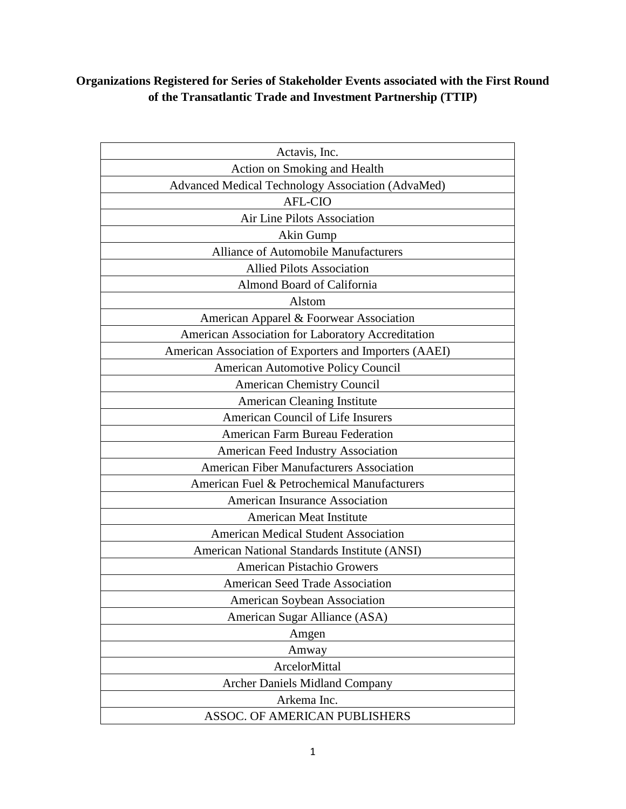## **Organizations Registered for Series of Stakeholder Events associated with the First Round of the Transatlantic Trade and Investment Partnership (TTIP)**

| Actavis, Inc.                                          |
|--------------------------------------------------------|
| Action on Smoking and Health                           |
| Advanced Medical Technology Association (AdvaMed)      |
| <b>AFL-CIO</b>                                         |
| Air Line Pilots Association                            |
| Akin Gump                                              |
| <b>Alliance of Automobile Manufacturers</b>            |
| <b>Allied Pilots Association</b>                       |
| Almond Board of California                             |
| Alstom                                                 |
| American Apparel & Foorwear Association                |
| American Association for Laboratory Accreditation      |
| American Association of Exporters and Importers (AAEI) |
| <b>American Automotive Policy Council</b>              |
| <b>American Chemistry Council</b>                      |
| <b>American Cleaning Institute</b>                     |
| American Council of Life Insurers                      |
| <b>American Farm Bureau Federation</b>                 |
| American Feed Industry Association                     |
| <b>American Fiber Manufacturers Association</b>        |
| American Fuel & Petrochemical Manufacturers            |
| American Insurance Association                         |
| <b>American Meat Institute</b>                         |
| <b>American Medical Student Association</b>            |
| American National Standards Institute (ANSI)           |
| <b>American Pistachio Growers</b>                      |
| <b>American Seed Trade Association</b>                 |
| American Soybean Association                           |
| American Sugar Alliance (ASA)                          |
| Amgen                                                  |
| Amway                                                  |
| ArcelorMittal                                          |
| <b>Archer Daniels Midland Company</b>                  |
| Arkema Inc.                                            |
| ASSOC. OF AMERICAN PUBLISHERS                          |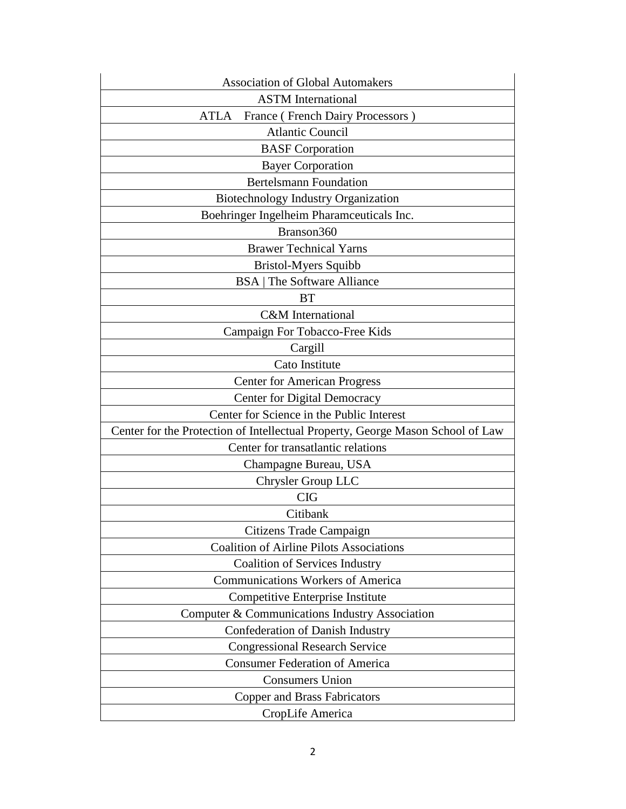| <b>Association of Global Automakers</b>                                        |
|--------------------------------------------------------------------------------|
| <b>ASTM</b> International                                                      |
| France (French Dairy Processors)<br>ATLA                                       |
| <b>Atlantic Council</b>                                                        |
| <b>BASF</b> Corporation                                                        |
| <b>Bayer Corporation</b>                                                       |
| <b>Bertelsmann Foundation</b>                                                  |
| Biotechnology Industry Organization                                            |
| Boehringer Ingelheim Pharamceuticals Inc.                                      |
| Branson360                                                                     |
| <b>Brawer Technical Yarns</b>                                                  |
| Bristol-Myers Squibb                                                           |
| <b>BSA</b>   The Software Alliance                                             |
| <b>BT</b>                                                                      |
| <b>C&amp;M</b> International                                                   |
| Campaign For Tobacco-Free Kids                                                 |
| Cargill                                                                        |
| Cato Institute                                                                 |
| <b>Center for American Progress</b>                                            |
| Center for Digital Democracy                                                   |
| Center for Science in the Public Interest                                      |
| Center for the Protection of Intellectual Property, George Mason School of Law |
| Center for transatlantic relations                                             |
| Champagne Bureau, USA                                                          |
| Chrysler Group LLC                                                             |
| <b>CIG</b>                                                                     |
| Citibank                                                                       |
| Citizens Trade Campaign                                                        |
| <b>Coalition of Airline Pilots Associations</b>                                |
| <b>Coalition of Services Industry</b>                                          |
| <b>Communications Workers of America</b>                                       |
| Competitive Enterprise Institute                                               |
| Computer & Communications Industry Association                                 |
| <b>Confederation of Danish Industry</b>                                        |
| <b>Congressional Research Service</b>                                          |
| <b>Consumer Federation of America</b>                                          |
| <b>Consumers Union</b>                                                         |
| Copper and Brass Fabricators                                                   |
| CropLife America                                                               |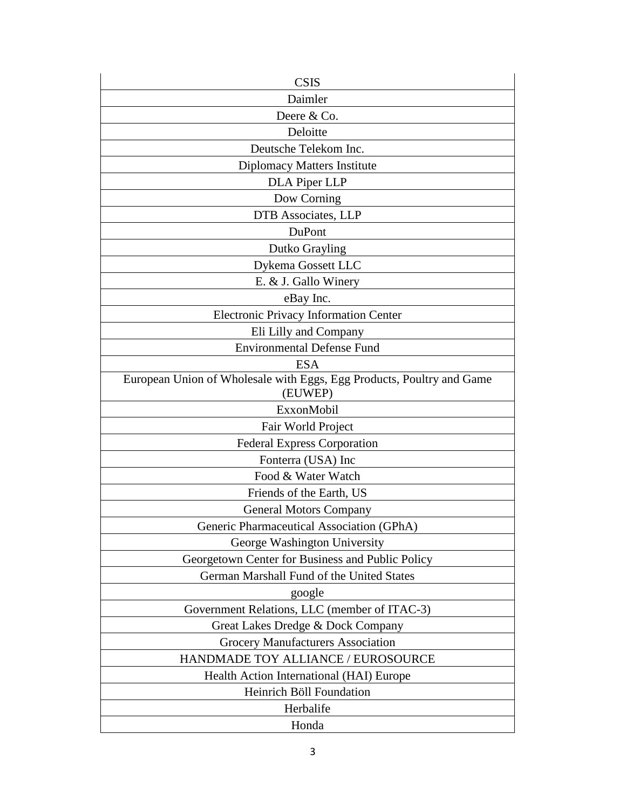| <b>CSIS</b>                                                                      |
|----------------------------------------------------------------------------------|
| Daimler                                                                          |
| Deere & Co.                                                                      |
| Deloitte                                                                         |
| Deutsche Telekom Inc.                                                            |
| Diplomacy Matters Institute                                                      |
| DLA Piper LLP                                                                    |
| Dow Corning                                                                      |
| DTB Associates, LLP                                                              |
| DuPont                                                                           |
| Dutko Grayling                                                                   |
| Dykema Gossett LLC                                                               |
| E. & J. Gallo Winery                                                             |
| eBay Inc.                                                                        |
| <b>Electronic Privacy Information Center</b>                                     |
| Eli Lilly and Company                                                            |
| <b>Environmental Defense Fund</b>                                                |
| <b>ESA</b>                                                                       |
| European Union of Wholesale with Eggs, Egg Products, Poultry and Game<br>(EUWEP) |
| ExxonMobil                                                                       |
| Fair World Project                                                               |
| <b>Federal Express Corporation</b>                                               |
| Fonterra (USA) Inc                                                               |
| Food & Water Watch                                                               |
| Friends of the Earth, US                                                         |
| <b>General Motors Company</b>                                                    |
| Generic Pharmaceutical Association (GPhA)                                        |
| George Washington University                                                     |
| Georgetown Center for Business and Public Policy                                 |
| German Marshall Fund of the United States                                        |
| google                                                                           |
| Government Relations, LLC (member of ITAC-3)                                     |
| Great Lakes Dredge & Dock Company                                                |
| <b>Grocery Manufacturers Association</b>                                         |
| HANDMADE TOY ALLIANCE / EUROSOURCE                                               |
| Health Action International (HAI) Europe                                         |
| Heinrich Böll Foundation                                                         |
| Herbalife                                                                        |
| Honda                                                                            |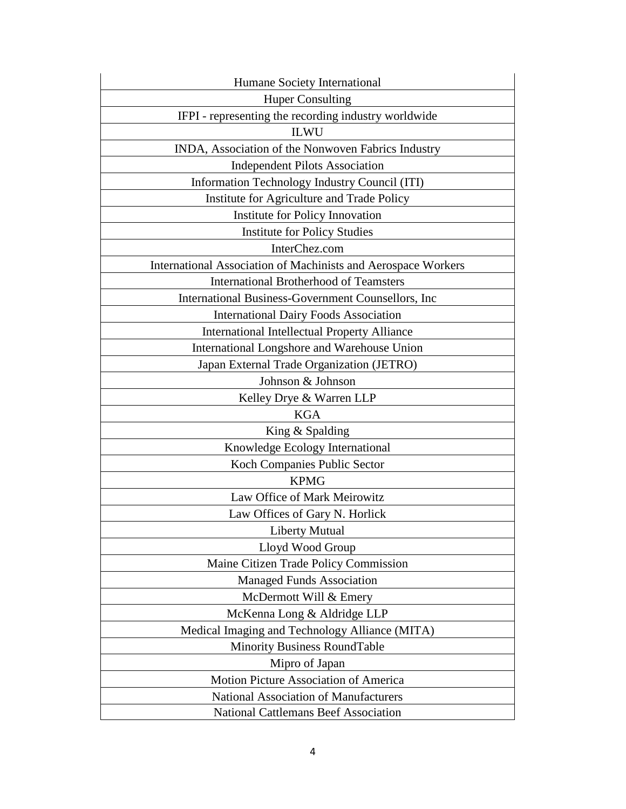| Humane Society International                                  |
|---------------------------------------------------------------|
| <b>Huper Consulting</b>                                       |
| IFPI - representing the recording industry worldwide          |
| <b>ILWU</b>                                                   |
| INDA, Association of the Nonwoven Fabrics Industry            |
| <b>Independent Pilots Association</b>                         |
| Information Technology Industry Council (ITI)                 |
| Institute for Agriculture and Trade Policy                    |
| Institute for Policy Innovation                               |
| <b>Institute for Policy Studies</b>                           |
| InterChez.com                                                 |
| International Association of Machinists and Aerospace Workers |
| <b>International Brotherhood of Teamsters</b>                 |
| International Business-Government Counsellors, Inc.           |
| <b>International Dairy Foods Association</b>                  |
| <b>International Intellectual Property Alliance</b>           |
| International Longshore and Warehouse Union                   |
| Japan External Trade Organization (JETRO)                     |
| Johnson & Johnson                                             |
| Kelley Drye & Warren LLP                                      |
| <b>KGA</b>                                                    |
| King & Spalding                                               |
| Knowledge Ecology International                               |
| Koch Companies Public Sector                                  |
| <b>KPMG</b>                                                   |
| Law Office of Mark Meirowitz                                  |
| Law Offices of Gary N. Horlick                                |
| <b>Liberty Mutual</b>                                         |
| Lloyd Wood Group                                              |
| Maine Citizen Trade Policy Commission                         |
| <b>Managed Funds Association</b>                              |
| McDermott Will & Emery                                        |
| McKenna Long & Aldridge LLP                                   |
| Medical Imaging and Technology Alliance (MITA)                |
| Minority Business RoundTable                                  |
| Mipro of Japan                                                |
| Motion Picture Association of America                         |
| National Association of Manufacturers                         |
| <b>National Cattlemans Beef Association</b>                   |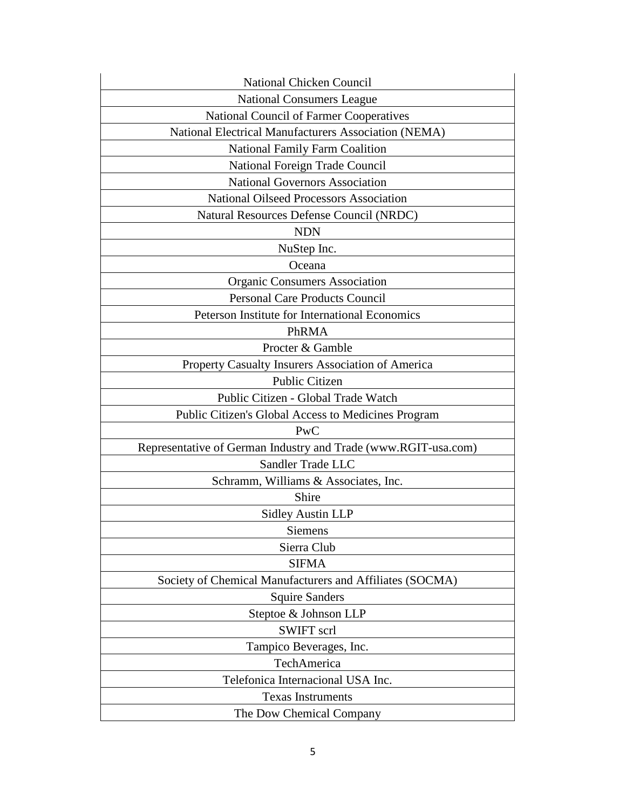| National Chicken Council                                       |
|----------------------------------------------------------------|
| <b>National Consumers League</b>                               |
| National Council of Farmer Cooperatives                        |
| National Electrical Manufacturers Association (NEMA)           |
| <b>National Family Farm Coalition</b>                          |
| National Foreign Trade Council                                 |
| <b>National Governors Association</b>                          |
| <b>National Oilseed Processors Association</b>                 |
| Natural Resources Defense Council (NRDC)                       |
| <b>NDN</b>                                                     |
| NuStep Inc.                                                    |
| Oceana                                                         |
| <b>Organic Consumers Association</b>                           |
| <b>Personal Care Products Council</b>                          |
| Peterson Institute for International Economics                 |
| PhRMA                                                          |
| Procter & Gamble                                               |
| Property Casualty Insurers Association of America              |
| <b>Public Citizen</b>                                          |
| Public Citizen - Global Trade Watch                            |
| Public Citizen's Global Access to Medicines Program            |
| PwC                                                            |
| Representative of German Industry and Trade (www.RGIT-usa.com) |
| Sandler Trade LLC                                              |
| Schramm, Williams & Associates, Inc.                           |
| Shire                                                          |
| <b>Sidley Austin LLP</b>                                       |
| Siemens                                                        |
| Sierra Club                                                    |
| <b>SIFMA</b>                                                   |
| Society of Chemical Manufacturers and Affiliates (SOCMA)       |
| <b>Squire Sanders</b>                                          |
| Steptoe & Johnson LLP                                          |
| <b>SWIFT</b> scrl                                              |
| Tampico Beverages, Inc.                                        |
| TechAmerica                                                    |
| Telefonica Internacional USA Inc.                              |
| <b>Texas Instruments</b>                                       |
| The Dow Chemical Company                                       |